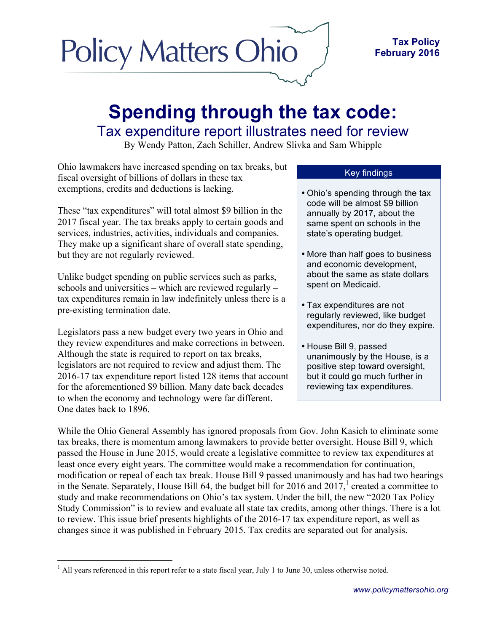# **Policy Matters Ohio**

# **Spending through the tax code:** Tax expenditure report illustrates need for review

By Wendy Patton, Zach Schiller, Andrew Slivka and Sam Whipple

Ohio lawmakers have increased spending on tax breaks, but fiscal oversight of billions of dollars in these tax exemptions, credits and deductions is lacking.

These "tax expenditures" will total almost \$9 billion in the 2017 fiscal year. The tax breaks apply to certain goods and services, industries, activities, individuals and companies. They make up a significant share of overall state spending, but they are not regularly reviewed.

Unlike budget spending on public services such as parks, schools and universities – which are reviewed regularly – tax expenditures remain in law indefinitely unless there is a pre-existing termination date.

Legislators pass a new budget every two years in Ohio and they review expenditures and make corrections in between. Although the state is required to report on tax breaks, legislators are not required to review and adjust them. The 2016-17 tax expenditure report listed 128 items that account for the aforementioned \$9 billion. Many date back decades to when the economy and technology were far different. One dates back to 1896.

#### Key findings

- Ohio's spending through the tax code will be almost \$9 billion annually by 2017, about the same spent on schools in the state's operating budget.
- More than half goes to business and economic development, about the same as state dollars spent on Medicaid.
- Tax expenditures are not regularly reviewed, like budget expenditures, nor do they expire.
- House Bill 9, passed unanimously by the House, is a positive step toward oversight, but it could go much further in reviewing tax expenditures.

While the Ohio General Assembly has ignored proposals from Gov. John Kasich to eliminate some tax breaks, there is momentum among lawmakers to provide better oversight. House Bill 9, which passed the House in June 2015, would create a legislative committee to review tax expenditures at least once every eight years. The committee would make a recommendation for continuation, modification or repeal of each tax break. House Bill 9 passed unanimously and has had two hearings in the Senate. Separately, House Bill 64, the budget bill for 2016 and  $2017<sup>1</sup>$  created a committee to study and make recommendations on Ohio's tax system. Under the bill, the new "2020 Tax Policy Study Commission" is to review and evaluate all state tax credits, among other things. There is a lot to review. This issue brief presents highlights of the 2016-17 tax expenditure report, as well as changes since it was published in February 2015. Tax credits are separated out for analysis.

 $<sup>1</sup>$  All years referenced in this report refer to a state fiscal year, July 1 to June 30, unless otherwise noted.</sup>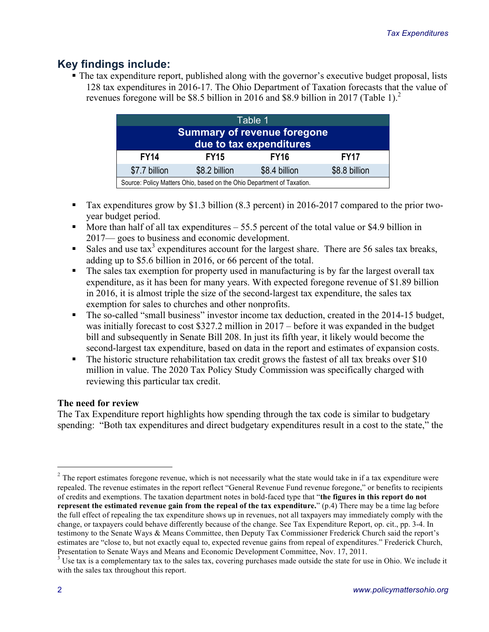# **Key findings include:**

§ The tax expenditure report, published along with the governor's executive budget proposal, lists 128 tax expenditures in 2016-17. The Ohio Department of Taxation forecasts that the value of revenues foregone will be \$8.5 billion in 2016 and \$8.9 billion in 2017 (Table 1). 2

| Table 1                                                                |  |  |  |  |  |  |
|------------------------------------------------------------------------|--|--|--|--|--|--|
| <b>Summary of revenue foregone</b><br>due to tax expenditures          |  |  |  |  |  |  |
| <b>FY14</b><br><b>FY17</b><br><b>FY15</b><br><b>FY16</b>               |  |  |  |  |  |  |
| \$7.7 billion<br>\$8.2 billion<br>\$8.4 billion<br>\$8.8 billion       |  |  |  |  |  |  |
| Source: Policy Matters Ohio, based on the Ohio Department of Taxation. |  |  |  |  |  |  |

- Tax expenditures grow by \$1.3 billion (8.3 percent) in 2016-2017 compared to the prior twoyear budget period.
- More than half of all tax expenditures  $-55.5$  percent of the total value or \$4.9 billion in 2017— goes to business and economic development.
- Sales and use  $\text{tax}^3$  expenditures account for the largest share. There are 56 sales tax breaks, adding up to \$5.6 billion in 2016, or 66 percent of the total.
- The sales tax exemption for property used in manufacturing is by far the largest overall tax expenditure, as it has been for many years. With expected foregone revenue of \$1.89 billion in 2016, it is almost triple the size of the second-largest tax expenditure, the sales tax exemption for sales to churches and other nonprofits.
- The so-called "small business" investor income tax deduction, created in the 2014-15 budget, was initially forecast to cost \$327.2 million in 2017 – before it was expanded in the budget bill and subsequently in Senate Bill 208. In just its fifth year, it likely would become the second-largest tax expenditure, based on data in the report and estimates of expansion costs.
- The historic structure rehabilitation tax credit grows the fastest of all tax breaks over \$10 million in value. The 2020 Tax Policy Study Commission was specifically charged with reviewing this particular tax credit.

#### **The need for review**

The Tax Expenditure report highlights how spending through the tax code is similar to budgetary spending: "Both tax expenditures and direct budgetary expenditures result in a cost to the state," the

 $2$  The report estimates foregone revenue, which is not necessarily what the state would take in if a tax expenditure were repealed. The revenue estimates in the report reflect "General Revenue Fund revenue foregone," or benefits to recipients of credits and exemptions. The taxation department notes in bold-faced type that "**the figures in this report do not represent the estimated revenue gain from the repeal of the tax expenditure.**" (p.4) There may be a time lag before the full effect of repealing the tax expenditure shows up in revenues, not all taxpayers may immediately comply with the change, or taxpayers could behave differently because of the change. See Tax Expenditure Report, op. cit., pp. 3-4. In testimony to the Senate Ways & Means Committee, then Deputy Tax Commissioner Frederick Church said the report's estimates are "close to, but not exactly equal to, expected revenue gains from repeal of expenditures." Frederick Church,

Presentation to Senate Ways and Means and Economic Development Committee, Nov. 17, 2011.<br><sup>3</sup> Use tax is a complementary tax to the sales tax, covering purchases made outside the state for use in Ohio. We include it with the sales tax throughout this report.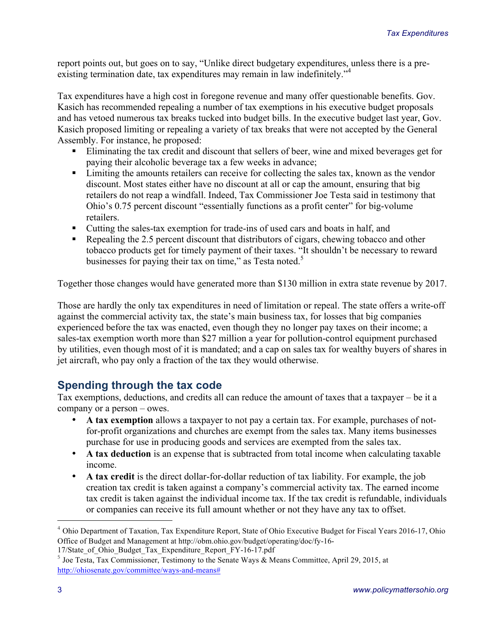report points out, but goes on to say, "Unlike direct budgetary expenditures, unless there is a preexisting termination date, tax expenditures may remain in law indefinitely.<sup>"4</sup>

Tax expenditures have a high cost in foregone revenue and many offer questionable benefits. Gov. Kasich has recommended repealing a number of tax exemptions in his executive budget proposals and has vetoed numerous tax breaks tucked into budget bills. In the executive budget last year, Gov. Kasich proposed limiting or repealing a variety of tax breaks that were not accepted by the General Assembly. For instance, he proposed:

- Eliminating the tax credit and discount that sellers of beer, wine and mixed beverages get for paying their alcoholic beverage tax a few weeks in advance;
- Limiting the amounts retailers can receive for collecting the sales tax, known as the vendor discount. Most states either have no discount at all or cap the amount, ensuring that big retailers do not reap a windfall. Indeed, Tax Commissioner Joe Testa said in testimony that Ohio's 0.75 percent discount "essentially functions as a profit center" for big-volume retailers.
- Cutting the sales-tax exemption for trade-ins of used cars and boats in half, and
- Repealing the 2.5 percent discount that distributors of cigars, chewing tobacco and other tobacco products get for timely payment of their taxes. "It shouldn't be necessary to reward businesses for paying their tax on time," as Testa noted.<sup>5</sup>

Together those changes would have generated more than \$130 million in extra state revenue by 2017.

Those are hardly the only tax expenditures in need of limitation or repeal. The state offers a write-off against the commercial activity tax, the state's main business tax, for losses that big companies experienced before the tax was enacted, even though they no longer pay taxes on their income; a sales-tax exemption worth more than \$27 million a year for pollution-control equipment purchased by utilities, even though most of it is mandated; and a cap on sales tax for wealthy buyers of shares in jet aircraft, who pay only a fraction of the tax they would otherwise.

# **Spending through the tax code**

Tax exemptions, deductions, and credits all can reduce the amount of taxes that a taxpayer – be it a company or a person – owes.

- **A tax exemption** allows a taxpayer to not pay a certain tax. For example, purchases of notfor-profit organizations and churches are exempt from the sales tax. Many items businesses purchase for use in producing goods and services are exempted from the sales tax.
- **A tax deduction** is an expense that is subtracted from total income when calculating taxable income.
- **A tax credit** is the direct dollar-for-dollar reduction of tax liability. For example, the job creation tax credit is taken against a company's commercial activity tax. The earned income tax credit is taken against the individual income tax. If the tax credit is refundable, individuals or companies can receive its full amount whether or not they have any tax to offset.

 <sup>4</sup> Ohio Department of Taxation, Tax Expenditure Report, State of Ohio Executive Budget for Fiscal Years 2016-17, Ohio Office of Budget and Management at http://obm.ohio.gov/budget/operating/doc/fy-16-

<sup>17/</sup>State\_of\_Ohio\_Budget\_Tax\_Expenditure\_Report\_FY-16-17.pdf

 $5$  Joe Testa, Tax Commissioner, Testimony to the Senate Ways & Means Committee, April 29, 2015, at http://ohiosenate.gov/committee/ways-and-means#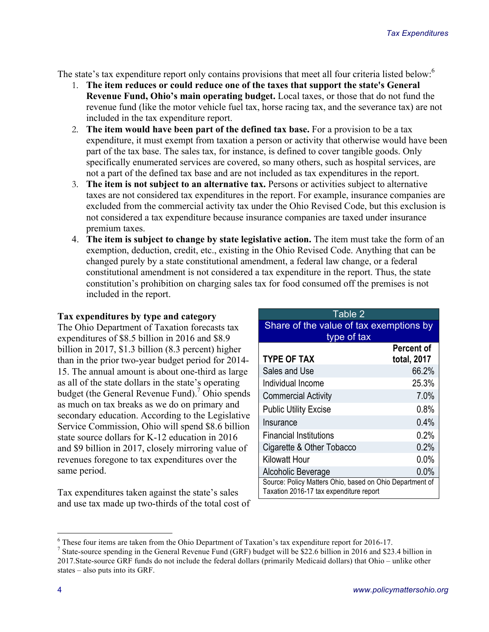The state's tax expenditure report only contains provisions that meet all four criteria listed below:<sup>6</sup>

- 1. **The item reduces or could reduce one of the taxes that support the state's General Revenue Fund, Ohio's main operating budget.** Local taxes, or those that do not fund the revenue fund (like the motor vehicle fuel tax, horse racing tax, and the severance tax) are not included in the tax expenditure report.
- 2. **The item would have been part of the defined tax base.** For a provision to be a tax expenditure, it must exempt from taxation a person or activity that otherwise would have been part of the tax base. The sales tax, for instance, is defined to cover tangible goods. Only specifically enumerated services are covered, so many others, such as hospital services, are not a part of the defined tax base and are not included as tax expenditures in the report.
- 3. **The item is not subject to an alternative tax.** Persons or activities subject to alternative taxes are not considered tax expenditures in the report. For example, insurance companies are excluded from the commercial activity tax under the Ohio Revised Code, but this exclusion is not considered a tax expenditure because insurance companies are taxed under insurance premium taxes.
- 4. **The item is subject to change by state legislative action.** The item must take the form of an exemption, deduction, credit, etc., existing in the Ohio Revised Code. Anything that can be changed purely by a state constitutional amendment, a federal law change, or a federal constitutional amendment is not considered a tax expenditure in the report. Thus, the state constitution's prohibition on charging sales tax for food consumed off the premises is not included in the report.

#### **Tax expenditures by type and category**

The Ohio Department of Taxation forecasts tax expenditures of \$8.5 billion in 2016 and \$8.9 billion in 2017, \$1.3 billion (8.3 percent) higher than in the prior two-year budget period for 2014- 15. The annual amount is about one-third as large as all of the state dollars in the state's operating budget (the General Revenue Fund). <sup>7</sup> Ohio spends as much on tax breaks as we do on primary and secondary education. According to the Legislative Service Commission, Ohio will spend \$8.6 billion state source dollars for K-12 education in 2016 and \$9 billion in 2017, closely mirroring value of revenues foregone to tax expenditures over the same period.

Tax expenditures taken against the state's sales and use tax made up two-thirds of the total cost of

| Table 2                                                                                             |             |  |  |  |
|-----------------------------------------------------------------------------------------------------|-------------|--|--|--|
| Share of the value of tax exemptions by<br>type of tax                                              |             |  |  |  |
|                                                                                                     | Percent of  |  |  |  |
| <b>TYPE OF TAX</b>                                                                                  | total, 2017 |  |  |  |
| Sales and Use                                                                                       | 66.2%       |  |  |  |
| Individual Income                                                                                   | 25.3%       |  |  |  |
| <b>Commercial Activity</b>                                                                          | 7.0%        |  |  |  |
| <b>Public Utility Excise</b>                                                                        | $0.8\%$     |  |  |  |
| Insurance                                                                                           | 0.4%        |  |  |  |
| <b>Financial Institutions</b>                                                                       | 0.2%        |  |  |  |
| Cigarette & Other Tobacco                                                                           | 0.2%        |  |  |  |
| <b>Kilowatt Hour</b>                                                                                | 0.0%        |  |  |  |
| Alcoholic Beverage                                                                                  | 0.0%        |  |  |  |
| Source: Policy Matters Ohio, based on Ohio Department of<br>Taxation 2016-17 tax expenditure report |             |  |  |  |
|                                                                                                     |             |  |  |  |

<sup>&</sup>lt;sup>6</sup> These four items are taken from the Ohio Department of Taxation's tax expenditure report for 2016-17.<br><sup>7</sup> State-source spending in the General Revenue Fund (GRF) budget will be \$22.6 billion in 2016 and \$23.4 billion 2017.State-source GRF funds do not include the federal dollars (primarily Medicaid dollars) that Ohio – unlike other states – also puts into its GRF.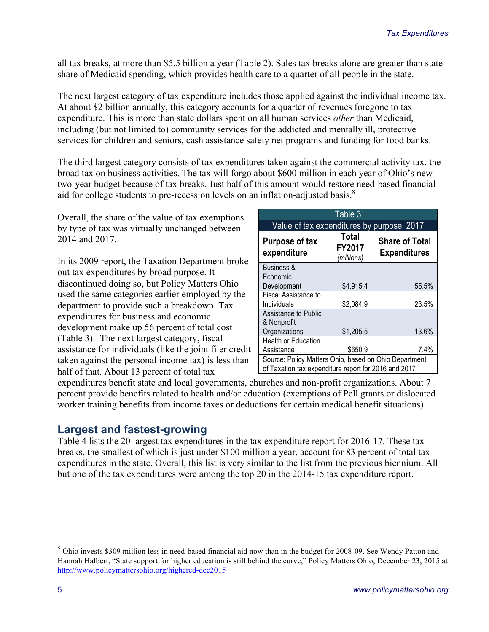all tax breaks, at more than \$5.5 billion a year (Table 2). Sales tax breaks alone are greater than state share of Medicaid spending, which provides health care to a quarter of all people in the state.

The next largest category of tax expenditure includes those applied against the individual income tax. At about \$2 billion annually, this category accounts for a quarter of revenues foregone to tax expenditure. This is more than state dollars spent on all human services *other* than Medicaid, including (but not limited to) community services for the addicted and mentally ill, protective services for children and seniors, cash assistance safety net programs and funding for food banks.

The third largest category consists of tax expenditures taken against the commercial activity tax, the broad tax on business activities. The tax will forgo about \$600 million in each year of Ohio's new two-year budget because of tax breaks. Just half of this amount would restore need-based financial aid for college students to pre-recession levels on an inflation-adjusted basis.<sup>8</sup>

Overall, the share of the value of tax exemptions by type of tax was virtually unchanged between 2014 and 2017.

In its 2009 report, the Taxation Department broke out tax expenditures by broad purpose. It discontinued doing so, but Policy Matters Ohio used the same categories earlier employed by the department to provide such a breakdown. Tax expenditures for business and economic development make up 56 percent of total cost (Table 3). The next largest category, fiscal assistance for individuals (like the joint filer credit taken against the personal income tax) is less than half of that. About 13 percent of total tax

| Table 3                                                                                                               |           |       |  |  |  |  |
|-----------------------------------------------------------------------------------------------------------------------|-----------|-------|--|--|--|--|
| Value of tax expenditures by purpose, 2017                                                                            |           |       |  |  |  |  |
| Total<br><b>Share of Total</b><br><b>Purpose of tax</b><br>FY2017<br>expenditure<br><b>Expenditures</b><br>(millions) |           |       |  |  |  |  |
| <b>Business &amp;</b>                                                                                                 |           |       |  |  |  |  |
| Economic                                                                                                              |           |       |  |  |  |  |
| Development                                                                                                           | \$4,915.4 | 55.5% |  |  |  |  |
| Fiscal Assistance to                                                                                                  |           |       |  |  |  |  |
| Individuals                                                                                                           | \$2,084.9 | 23.5% |  |  |  |  |
| Assistance to Public                                                                                                  |           |       |  |  |  |  |
| & Nonprofit                                                                                                           |           |       |  |  |  |  |
| Organizations                                                                                                         | \$1,205.5 | 13.6% |  |  |  |  |
| <b>Health or Education</b>                                                                                            |           |       |  |  |  |  |
| Assistance                                                                                                            | \$650.9   | 7.4%  |  |  |  |  |
| Source: Policy Matters Ohio, based on Ohio Department                                                                 |           |       |  |  |  |  |
| of Taxation tax expenditure report for 2016 and 2017                                                                  |           |       |  |  |  |  |

expenditures benefit state and local governments, churches and non-profit organizations. About 7 percent provide benefits related to health and/or education (exemptions of Pell grants or dislocated worker training benefits from income taxes or deductions for certain medical benefit situations).

### **Largest and fastest-growing**

Table 4 lists the 20 largest tax expenditures in the tax expenditure report for 2016-17. These tax breaks, the smallest of which is just under \$100 million a year, account for 83 percent of total tax expenditures in the state. Overall, this list is very similar to the list from the previous biennium. All but one of the tax expenditures were among the top 20 in the 2014-15 tax expenditure report.

<sup>&</sup>lt;sup>8</sup> Ohio invests \$309 million less in need-based financial aid now than in the budget for 2008-09. See Wendy Patton and Hannah Halbert, "State support for higher education is still behind the curve," Policy Matters Ohio, December 23, 2015 at http://www.policymattersohio.org/highered-dec2015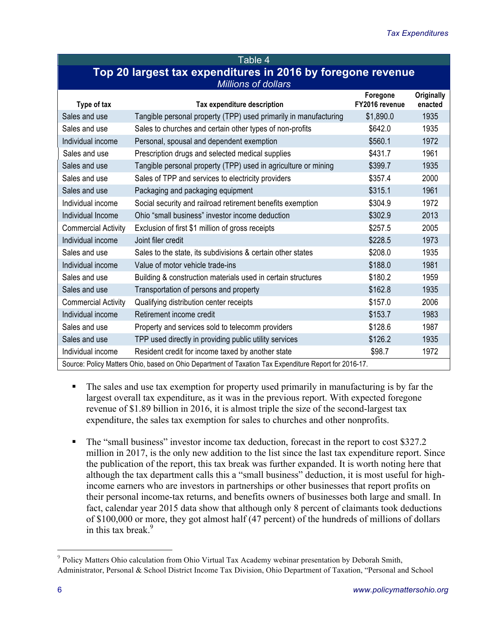| Table 4'                                                    |
|-------------------------------------------------------------|
| Top 20 largest tax expenditures in 2016 by foregone revenue |
| <b>Millions of dollars</b>                                  |

| Type of tax                                                                                           | Tax expenditure description                                      | Foregone<br>FY2016 revenue | Originally<br>enacted |  |  |
|-------------------------------------------------------------------------------------------------------|------------------------------------------------------------------|----------------------------|-----------------------|--|--|
| Sales and use                                                                                         | Tangible personal property (TPP) used primarily in manufacturing | \$1,890.0                  | 1935                  |  |  |
| Sales and use                                                                                         | Sales to churches and certain other types of non-profits         | \$642.0                    | 1935                  |  |  |
| Individual income                                                                                     | Personal, spousal and dependent exemption                        | \$560.1                    | 1972                  |  |  |
| Sales and use                                                                                         | Prescription drugs and selected medical supplies                 | \$431.7                    | 1961                  |  |  |
| Sales and use                                                                                         | Tangible personal property (TPP) used in agriculture or mining   | \$399.7                    | 1935                  |  |  |
| Sales and use                                                                                         | Sales of TPP and services to electricity providers               | \$357.4                    | 2000                  |  |  |
| Sales and use                                                                                         | Packaging and packaging equipment                                | \$315.1                    | 1961                  |  |  |
| Individual income                                                                                     | Social security and railroad retirement benefits exemption       | \$304.9                    | 1972                  |  |  |
| Individual Income                                                                                     | Ohio "small business" investor income deduction                  | \$302.9                    | 2013                  |  |  |
| <b>Commercial Activity</b>                                                                            | Exclusion of first \$1 million of gross receipts                 | \$257.5                    | 2005                  |  |  |
| Individual income                                                                                     | Joint filer credit                                               | \$228.5                    | 1973                  |  |  |
| Sales and use                                                                                         | Sales to the state, its subdivisions & certain other states      | \$208.0                    | 1935                  |  |  |
| Individual income                                                                                     | Value of motor vehicle trade-ins                                 | \$188.0                    | 1981                  |  |  |
| Sales and use                                                                                         | Building & construction materials used in certain structures     | \$180.2                    | 1959                  |  |  |
| Sales and use                                                                                         | Transportation of persons and property                           | \$162.8                    | 1935                  |  |  |
| <b>Commercial Activity</b>                                                                            | Qualifying distribution center receipts                          | \$157.0                    | 2006                  |  |  |
| Individual income                                                                                     | Retirement income credit                                         | \$153.7                    | 1983                  |  |  |
| Sales and use                                                                                         | Property and services sold to telecomm providers                 | \$128.6                    | 1987                  |  |  |
| Sales and use                                                                                         | TPP used directly in providing public utility services           | \$126.2                    | 1935                  |  |  |
| Individual income                                                                                     | Resident credit for income taxed by another state                | \$98.7                     | 1972                  |  |  |
| Source: Policy Matters Ohio, based on Ohio Department of Taxation Tax Expenditure Report for 2016-17. |                                                                  |                            |                       |  |  |

- The sales and use tax exemption for property used primarily in manufacturing is by far the largest overall tax expenditure, as it was in the previous report. With expected foregone revenue of \$1.89 billion in 2016, it is almost triple the size of the second-largest tax expenditure, the sales tax exemption for sales to churches and other nonprofits.
- The "small business" investor income tax deduction, forecast in the report to cost \$327.2 million in 2017, is the only new addition to the list since the last tax expenditure report. Since the publication of the report, this tax break was further expanded. It is worth noting here that although the tax department calls this a "small business" deduction, it is most useful for highincome earners who are investors in partnerships or other businesses that report profits on their personal income-tax returns, and benefits owners of businesses both large and small. In fact, calendar year 2015 data show that although only 8 percent of claimants took deductions of \$100,000 or more, they got almost half (47 percent) of the hundreds of millions of dollars in this tax break. $9$

<sup>&</sup>lt;sup>9</sup> Policy Matters Ohio calculation from Ohio Virtual Tax Academy webinar presentation by Deborah Smith, Administrator, Personal & School District Income Tax Division, Ohio Department of Taxation, "Personal and School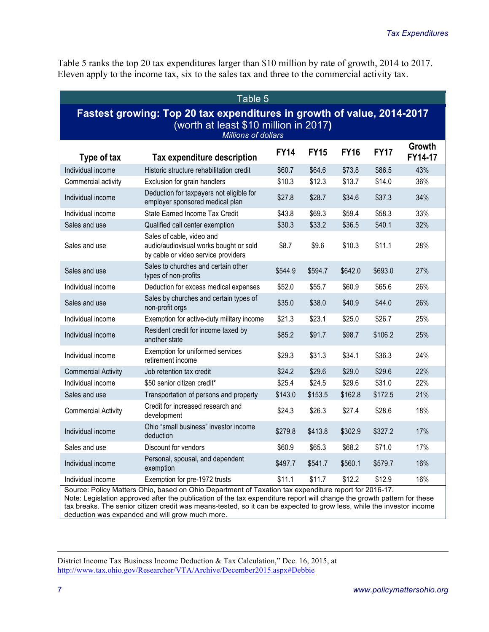Table 5 ranks the top 20 tax expenditures larger than \$10 million by rate of growth, 2014 to 2017. Eleven apply to the income tax, six to the sales tax and three to the commercial activity tax.

| Table 5                                                                                                                                       |                                                                                                            |             |             |             |             |                   |
|-----------------------------------------------------------------------------------------------------------------------------------------------|------------------------------------------------------------------------------------------------------------|-------------|-------------|-------------|-------------|-------------------|
| Fastest growing: Top 20 tax expenditures in growth of value, 2014-2017<br>(worth at least \$10 million in 2017)<br><b>Millions of dollars</b> |                                                                                                            |             |             |             |             |                   |
| Type of tax                                                                                                                                   | Tax expenditure description                                                                                | <b>FY14</b> | <b>FY15</b> | <b>FY16</b> | <b>FY17</b> | Growth<br>FY14-17 |
| Individual income                                                                                                                             | Historic structure rehabilitation credit                                                                   | \$60.7      | \$64.6      | \$73.8      | \$86.5      | 43%               |
| Commercial activity                                                                                                                           | Exclusion for grain handlers                                                                               | \$10.3      | \$12.3      | \$13.7      | \$14.0      | 36%               |
| Individual income                                                                                                                             | Deduction for taxpayers not eligible for<br>employer sponsored medical plan                                | \$27.8      | \$28.7      | \$34.6      | \$37.3      | 34%               |
| Individual income                                                                                                                             | State Earned Income Tax Credit                                                                             | \$43.8      | \$69.3      | \$59.4      | \$58.3      | 33%               |
| Sales and use                                                                                                                                 | Qualified call center exemption                                                                            | \$30.3      | \$33.2      | \$36.5      | \$40.1      | 32%               |
| Sales and use                                                                                                                                 | Sales of cable, video and<br>audio/audiovisual works bought or sold<br>by cable or video service providers | \$8.7       | \$9.6       | \$10.3      | \$11.1      | 28%               |
| Sales and use                                                                                                                                 | Sales to churches and certain other<br>types of non-profits                                                | \$544.9     | \$594.7     | \$642.0     | \$693.0     | 27%               |
| Individual income                                                                                                                             | Deduction for excess medical expenses                                                                      | \$52.0      | \$55.7      | \$60.9      | \$65.6      | 26%               |
| Sales and use                                                                                                                                 | Sales by churches and certain types of<br>non-profit orgs                                                  | \$35.0      | \$38.0      | \$40.9      | \$44.0      | 26%               |
| Individual income                                                                                                                             | Exemption for active-duty military income                                                                  | \$21.3      | \$23.1      | \$25.0      | \$26.7      | 25%               |
| Individual income                                                                                                                             | Resident credit for income taxed by<br>another state                                                       | \$85.2      | \$91.7      | \$98.7      | \$106.2     | 25%               |
| Individual income                                                                                                                             | Exemption for uniformed services<br>retirement income                                                      | \$29.3      | \$31.3      | \$34.1      | \$36.3      | 24%               |
| <b>Commercial Activity</b>                                                                                                                    | Job retention tax credit                                                                                   | \$24.2      | \$29.6      | \$29.0      | \$29.6      | 22%               |
| Individual income                                                                                                                             | \$50 senior citizen credit*                                                                                | \$25.4      | \$24.5      | \$29.6      | \$31.0      | 22%               |
| Sales and use                                                                                                                                 | Transportation of persons and property                                                                     | \$143.0     | \$153.5     | \$162.8     | \$172.5     | 21%               |
| <b>Commercial Activity</b>                                                                                                                    | Credit for increased research and<br>development                                                           | \$24.3      | \$26.3      | \$27.4      | \$28.6      | 18%               |
| Individual income                                                                                                                             | Ohio "small business" investor income<br>deduction                                                         | \$279.8     | \$413.8     | \$302.9     | \$327.2     | 17%               |
| Sales and use                                                                                                                                 | Discount for vendors                                                                                       | \$60.9      | \$65.3      | \$68.2      | \$71.0      | 17%               |
| Individual income                                                                                                                             | Personal, spousal, and dependent<br>exemption                                                              | \$497.7     | \$541.7     | \$560.1     | \$579.7     | 16%               |
| Individual income                                                                                                                             | Exemption for pre-1972 trusts                                                                              | \$11.1      | \$11.7      | \$12.2      | \$12.9      | 16%               |
| Source: Policy Matters Ohio, based on Ohio Department of Taxation tax expenditure report for 2016-17.                                         |                                                                                                            |             |             |             |             |                   |

Note: Legislation approved after the publication of the tax expenditure report will change the growth pattern for these tax breaks. The senior citizen credit was means-tested, so it can be expected to grow less, while the investor income deduction was expanded and will grow much more.

District Income Tax Business Income Deduction & Tax Calculation," Dec. 16, 2015, at http://www.tax.ohio.gov/Researcher/VTA/Archive/December2015.aspx#Debbie

 $\overline{a}$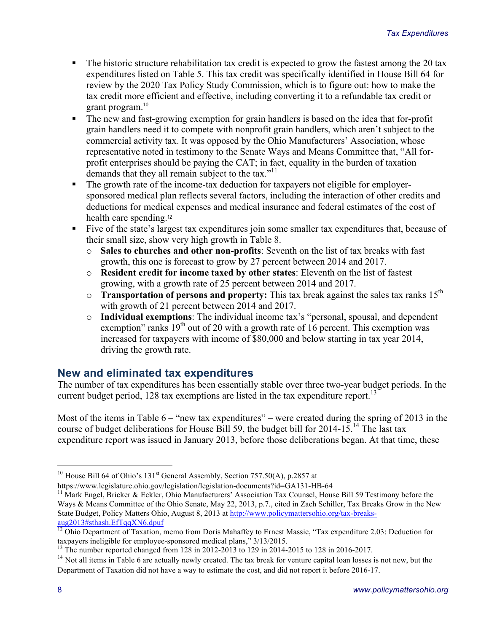- The historic structure rehabilitation tax credit is expected to grow the fastest among the 20 tax expenditures listed on Table 5. This tax credit was specifically identified in House Bill 64 for review by the 2020 Tax Policy Study Commission, which is to figure out: how to make the tax credit more efficient and effective, including converting it to a refundable tax credit or grant program. $10$
- The new and fast-growing exemption for grain handlers is based on the idea that for-profit grain handlers need it to compete with nonprofit grain handlers, which aren't subject to the commercial activity tax. It was opposed by the Ohio Manufacturers' Association, whose representative noted in testimony to the Senate Ways and Means Committee that, "All forprofit enterprises should be paying the CAT; in fact, equality in the burden of taxation demands that they all remain subject to the tax."<sup>11</sup>
- The growth rate of the income-tax deduction for taxpayers not eligible for employersponsored medical plan reflects several factors, including the interaction of other credits and deductions for medical expenses and medical insurance and federal estimates of the cost of health care spending.<sup>12</sup>
- Five of the state's largest tax expenditures join some smaller tax expenditures that, because of their small size, show very high growth in Table 8.
	- o **Sales to churches and other non-profits**: Seventh on the list of tax breaks with fast growth, this one is forecast to grow by 27 percent between 2014 and 2017.
	- o **Resident credit for income taxed by other states**: Eleventh on the list of fastest growing, with a growth rate of 25 percent between 2014 and 2017.
	- o **Transportation of persons and property:** This tax break against the sales tax ranks 15th with growth of 21 percent between 2014 and 2017.
	- o **Individual exemptions**: The individual income tax's "personal, spousal, and dependent exemption" ranks  $19<sup>th</sup>$  out of 20 with a growth rate of 16 percent. This exemption was increased for taxpayers with income of \$80,000 and below starting in tax year 2014, driving the growth rate.

# **New and eliminated tax expenditures**

The number of tax expenditures has been essentially stable over three two-year budget periods. In the current budget period, 128 tax exemptions are listed in the tax expenditure report.<sup>13</sup>

Most of the items in Table  $6 -$  "new tax expenditures" – were created during the spring of 2013 in the course of budget deliberations for House Bill 59, the budget bill for 2014-15.<sup>14</sup> The last tax expenditure report was issued in January 2013, before those deliberations began. At that time, these

<sup>&</sup>lt;sup>10</sup> House Bill 64 of Ohio's 131<sup>st</sup> General Assembly, Section 757.50(A), p.2857 at https://www.legislature.ohio.gov/legislation/legislation-documents?id=GA131-HB-64

<sup>&</sup>lt;sup>11</sup> Mark Engel, Bricker & Eckler, Ohio Manufacturers' Association Tax Counsel, House Bill 59 Testimony before the Ways & Means Committee of the Ohio Senate, May 22, 2013, p.7., cited in Zach Schiller, Tax Breaks Grow in the New State Budget, Policy Matters Ohio, August 8, 2013 at http://www.policymattersohio.org/tax-breaksaug2013#sthash.EfTqqXN6.dpuf

<sup>&</sup>lt;sup>12</sup> Ohio Department of Taxation, memo from Doris Mahaffey to Ernest Massie, "Tax expenditure 2.03: Deduction for taxpayers ineligible for employee-sponsored medical plans," 3/13/2015.

 $13$  The number reported changed from 128 in 2012-2013 to 129 in 2014-2015 to 128 in 2016-2017.

<sup>&</sup>lt;sup>14</sup> Not all items in Table 6 are actually newly created. The tax break for venture capital loan losses is not new, but the Department of Taxation did not have a way to estimate the cost, and did not report it before 2016-17.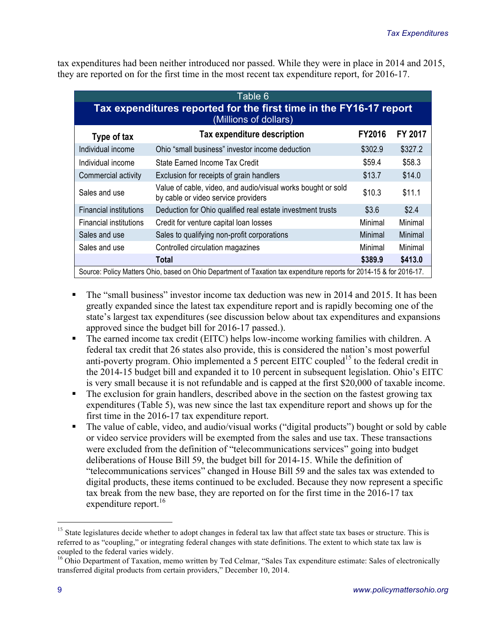tax expenditures had been neither introduced nor passed. While they were in place in 2014 and 2015, they are reported on for the first time in the most recent tax expenditure report, for 2016-17.

| Table 6                                                                                                              |                                                                                                     |               |         |  |  |
|----------------------------------------------------------------------------------------------------------------------|-----------------------------------------------------------------------------------------------------|---------------|---------|--|--|
| Tax expenditures reported for the first time in the FY16-17 report<br>(Millions of dollars)                          |                                                                                                     |               |         |  |  |
| Type of tax                                                                                                          | Tax expenditure description                                                                         | <b>FY2016</b> | FY 2017 |  |  |
| Individual income                                                                                                    | Ohio "small business" investor income deduction                                                     | \$302.9       | \$327.2 |  |  |
| Individual income                                                                                                    | State Earned Income Tax Credit                                                                      | \$59.4        | \$58.3  |  |  |
| Commercial activity                                                                                                  | Exclusion for receipts of grain handlers                                                            | \$13.7        | \$14.0  |  |  |
| Sales and use                                                                                                        | Value of cable, video, and audio/visual works bought or sold<br>by cable or video service providers | \$10.3        | \$11.1  |  |  |
| <b>Financial institutions</b>                                                                                        | Deduction for Ohio qualified real estate investment trusts                                          | \$3.6         | \$2.4   |  |  |
| Financial institutions                                                                                               | Credit for venture capital loan losses                                                              | Minimal       | Minimal |  |  |
| Sales and use                                                                                                        | Sales to qualifying non-profit corporations                                                         | Minimal       | Minimal |  |  |
| Sales and use                                                                                                        | Controlled circulation magazines                                                                    | Minimal       | Minimal |  |  |
|                                                                                                                      | Total                                                                                               | \$389.9       | \$413.0 |  |  |
| Source: Policy Matters Ohio, based on Ohio Department of Taxation tax expenditure reports for 2014-15 & for 2016-17. |                                                                                                     |               |         |  |  |

- § The "small business" investor income tax deduction was new in 2014 and 2015. It has been greatly expanded since the latest tax expenditure report and is rapidly becoming one of the state's largest tax expenditures (see discussion below about tax expenditures and expansions approved since the budget bill for 2016-17 passed.).
- The earned income tax credit (EITC) helps low-income working families with children. A federal tax credit that 26 states also provide, this is considered the nation's most powerful anti-poverty program. Ohio implemented a 5 percent EITC coupled<sup>15</sup> to the federal credit in the 2014-15 budget bill and expanded it to 10 percent in subsequent legislation. Ohio's EITC is very small because it is not refundable and is capped at the first \$20,000 of taxable income.
- The exclusion for grain handlers, described above in the section on the fastest growing tax expenditures (Table 5), was new since the last tax expenditure report and shows up for the first time in the 2016-17 tax expenditure report.
- The value of cable, video, and audio/visual works ("digital products") bought or sold by cable or video service providers will be exempted from the sales and use tax. These transactions were excluded from the definition of "telecommunications services" going into budget deliberations of House Bill 59, the budget bill for 2014-15. While the definition of "telecommunications services" changed in House Bill 59 and the sales tax was extended to digital products, these items continued to be excluded. Because they now represent a specific tax break from the new base, they are reported on for the first time in the 2016-17 tax expenditure report.<sup>16</sup>

 $15$  State legislatures decide whether to adopt changes in federal tax law that affect state tax bases or structure. This is referred to as "coupling," or integrating federal changes with state definitions. The extent to which state tax law is coupled to the federal varies widely.<br><sup>16</sup> Ohio Department of Taxation, memo written by Ted Celmar, "Sales Tax expenditure estimate: Sales of electronically

transferred digital products from certain providers," December 10, 2014.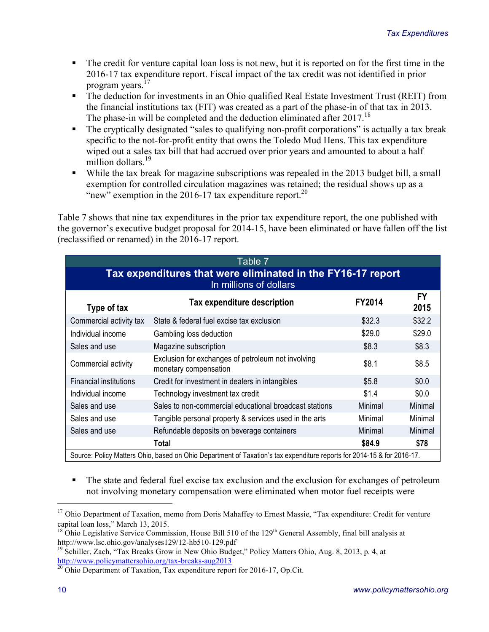- The credit for venture capital loan loss is not new, but it is reported on for the first time in the 2016-17 tax expenditure report. Fiscal impact of the tax credit was not identified in prior program years.<sup>17</sup>
- The deduction for investments in an Ohio qualified Real Estate Investment Trust (REIT) from the financial institutions tax (FIT) was created as a part of the phase-in of that tax in 2013. The phase-in will be completed and the deduction eliminated after 2017.<sup>18</sup>
- The cryptically designated "sales to qualifying non-profit corporations" is actually a tax break specific to the not-for-profit entity that owns the Toledo Mud Hens. This tax expenditure wiped out a sales tax bill that had accrued over prior years and amounted to about a half million dollars. 19
- While the tax break for magazine subscriptions was repealed in the 2013 budget bill, a small exemption for controlled circulation magazines was retained; the residual shows up as a "new" exemption in the 2016-17 tax expenditure report.<sup>20</sup>

Table 7 shows that nine tax expenditures in the prior tax expenditure report, the one published with the governor's executive budget proposal for 2014-15, have been eliminated or have fallen off the list (reclassified or renamed) in the 2016-17 report.

| Table 7                                                                                                                |                                                                             |               |                   |  |
|------------------------------------------------------------------------------------------------------------------------|-----------------------------------------------------------------------------|---------------|-------------------|--|
| Tax expenditures that were eliminated in the FY16-17 report<br>In millions of dollars                                  |                                                                             |               |                   |  |
| Type of tax                                                                                                            | Tax expenditure description                                                 | <b>FY2014</b> | <b>FY</b><br>2015 |  |
| Commercial activity tax                                                                                                | State & federal fuel excise tax exclusion                                   | \$32.3        | \$32.2            |  |
| Individual income                                                                                                      | Gambling loss deduction                                                     | \$29.0        | \$29.0            |  |
| Sales and use                                                                                                          | Magazine subscription                                                       | \$8.3         | \$8.3             |  |
| Commercial activity                                                                                                    | Exclusion for exchanges of petroleum not involving<br>monetary compensation | \$8.1         | \$8.5             |  |
| <b>Financial institutions</b>                                                                                          | Credit for investment in dealers in intangibles                             | \$5.8         | \$0.0             |  |
| Individual income                                                                                                      | Technology investment tax credit                                            | \$1.4         | \$0.0             |  |
| Sales and use                                                                                                          | Sales to non-commercial educational broadcast stations                      | Minimal       | Minimal           |  |
| Sales and use                                                                                                          | Tangible personal property & services used in the arts                      | Minimal       | Minimal           |  |
| Sales and use                                                                                                          | Refundable deposits on beverage containers                                  | Minimal       | Minimal           |  |
|                                                                                                                        | <b>Total</b>                                                                | \$84.9        | \$78              |  |
| Source: Policy Matters Ohio, based on Ohio Department of Taxation's tax expenditure reports for 2014-15 & for 2016-17. |                                                                             |               |                   |  |

The state and federal fuel excise tax exclusion and the exclusion for exchanges of petroleum not involving monetary compensation were eliminated when motor fuel receipts were

<sup>&</sup>lt;sup>17</sup> Ohio Department of Taxation, memo from Doris Mahaffey to Ernest Massie, "Tax expenditure: Credit for venture

capital loan loss," March 13, 2015.<br><sup>18</sup> Ohio Legislative Service Commission, House Bill 510 of the 129<sup>th</sup> General Assembly, final bill analysis at http://www.lsc.ohio.gov/analyses129/12-hb510-129.pdf

<sup>&</sup>lt;sup>19</sup> Schiller, Zach, "Tax Breaks Grow in New Ohio Budget," Policy Matters Ohio, Aug. 8, 2013, p. 4, at http://www.policymattersohio.org/tax-breaks-aug2013<br><sup>20</sup> Ohio Department of Taxation, Tax expenditure report for 2016-17, Op.Cit.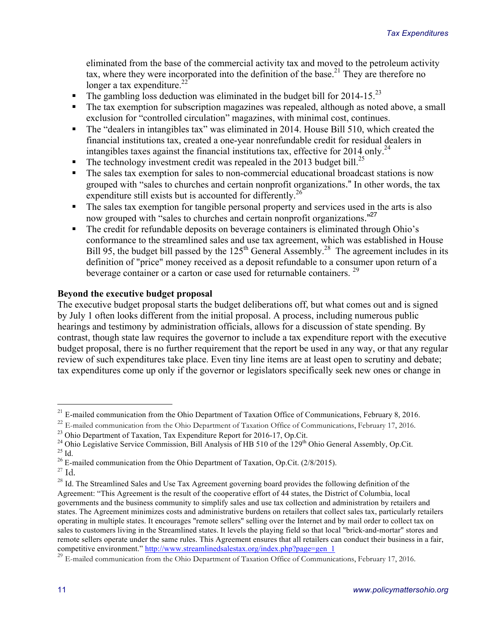eliminated from the base of the commercial activity tax and moved to the petroleum activity tax, where they were incorporated into the definition of the base.<sup>21</sup> They are therefore no longer a tax expenditure. $22$ 

- The gambling loss deduction was eliminated in the budget bill for 2014-15.<sup>23</sup>
- The tax exemption for subscription magazines was repealed, although as noted above, a small exclusion for "controlled circulation" magazines, with minimal cost, continues.
- The "dealers in intangibles tax" was eliminated in 2014. House Bill 510, which created the financial institutions tax, created a one-year nonrefundable credit for residual dealers in intangibles taxes against the financial institutions tax, effective for 2014 only.<sup>24</sup>
- The technology investment credit was repealed in the 2013 budget bill.<sup>25</sup>
- The sales tax exemption for sales to non-commercial educational broadcast stations is now grouped with "sales to churches and certain nonprofit organizations." In other words, the tax expenditure still exists but is accounted for differently.<sup>26</sup>
- The sales tax exemption for tangible personal property and services used in the arts is also now grouped with "sales to churches and certain nonprofit organizations."<sup>27</sup>
- The credit for refundable deposits on beverage containers is eliminated through Ohio's conformance to the streamlined sales and use tax agreement, which was established in House Bill 95, the budget bill passed by the  $125<sup>th</sup>$  General Assembly.<sup>28</sup> The agreement includes in its definition of "price" money received as a deposit refundable to a consumer upon return of a beverage container or a carton or case used for returnable containers.<sup>29</sup>

#### **Beyond the executive budget proposal**

The executive budget proposal starts the budget deliberations off, but what comes out and is signed by July 1 often looks different from the initial proposal. A process, including numerous public hearings and testimony by administration officials, allows for a discussion of state spending. By contrast, though state law requires the governor to include a tax expenditure report with the executive budget proposal, there is no further requirement that the report be used in any way, or that any regular review of such expenditures take place. Even tiny line items are at least open to scrutiny and debate; tax expenditures come up only if the governor or legislators specifically seek new ones or change in

 $21$  E-mailed communication from the Ohio Department of Taxation Office of Communications, February 8, 2016.

 $^{22}$  E-mailed communication from the Ohio Department of Taxation Office of Communications, February 17, 2016.<br><sup>23</sup> Ohio Department of Taxation, Tax Expenditure Report for 2016-17, Op.Cit.

<sup>&</sup>lt;sup>24</sup> Ohio Legislative Service Commission, Bill Analysis of HB 510 of the  $129<sup>th</sup>$  Ohio General Assembly, Op.Cit.<br><sup>25</sup> Id.<br><sup>26</sup> E-mailed communication from the Ohio Department of Taxation, Op.Cit. (2/8/2015).

 $^{27}$  Id.

<sup>&</sup>lt;sup>28</sup> Id. The Streamlined Sales and Use Tax Agreement governing board provides the following definition of the Agreement: "This Agreement is the result of the cooperative effort of 44 states, the District of Columbia, local governments and the business community to simplify sales and use tax collection and administration by retailers and states. The Agreement minimizes costs and administrative burdens on retailers that collect sales tax, particularly retailers operating in multiple states. It encourages "remote sellers" selling over the Internet and by mail order to collect tax on sales to customers living in the Streamlined states. It levels the playing field so that local "brick-and-mortar" stores and remote sellers operate under the same rules. This Agreement ensures that all retailers can conduct their business in a fair, competitive environment." http://www.streamlinedsalestax.org/index.php?page=gen\_1

<sup>&</sup>lt;sup>29</sup> E-mailed communication from the Ohio Department of Taxation Office of Communications, February 17, 2016.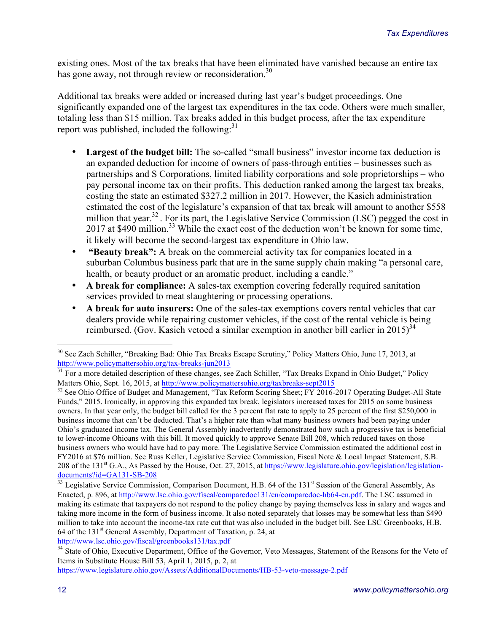existing ones. Most of the tax breaks that have been eliminated have vanished because an entire tax has gone away, not through review or reconsideration.<sup>30</sup>

Additional tax breaks were added or increased during last year's budget proceedings. One significantly expanded one of the largest tax expenditures in the tax code. Others were much smaller, totaling less than \$15 million. Tax breaks added in this budget process, after the tax expenditure report was published, included the following:<sup>31</sup>

- **Largest of the budget bill:** The so-called "small business" investor income tax deduction is an expanded deduction for income of owners of pass-through entities – businesses such as partnerships and S Corporations, limited liability corporations and sole proprietorships – who pay personal income tax on their profits. This deduction ranked among the largest tax breaks, costing the state an estimated \$327.2 million in 2017. However, the Kasich administration estimated the cost of the legislature's expansion of that tax break will amount to another \$558 million that year.<sup>32</sup>. For its part, the Legislative Service Commission (LSC) pegged the cost in 2017 at \$490 million.<sup>33</sup> While the exact cost of the deduction won't be known for some time, it likely will become the second-largest tax expenditure in Ohio law.
- **"Beauty break":** A break on the commercial activity tax for companies located in a suburban Columbus business park that are in the same supply chain making "a personal care, health, or beauty product or an aromatic product, including a candle."
- **A break for compliance:** A sales-tax exemption covering federally required sanitation services provided to meat slaughtering or processing operations.
- **A break for auto insurers:** One of the sales-tax exemptions covers rental vehicles that car dealers provide while repairing customer vehicles, if the cost of the rental vehicle is being reimbursed. (Gov. Kasich vetoed a similar exemption in another bill earlier in 2015)<sup>34</sup>

https://www.legislature.ohio.gov/Assets/AdditionalDocuments/HB-53-veto-message-2.pdf

<sup>&</sup>lt;sup>30</sup> See Zach Schiller, "Breaking Bad: Ohio Tax Breaks Escape Scrutiny," Policy Matters Ohio, June 17, 2013, at http://www.policymattersohio.org/tax-breaks-jun2013

<sup>&</sup>lt;sup>31</sup> For a more detailed description of these changes, see Zach Schiller, "Tax Breaks Expand in Ohio Budget," Policy Matters Ohio, Sept. 16, 2015, at http://www.policymattersohio.org/taxbreaks-sept2015<br><sup>32</sup> See Ohio Office of Budget and Management, "Tax Reform Scoring Sheet; FY 2016-2017 Operating Budget-All State

Funds," 2015. Ironically, in approving this expanded tax break, legislators increased taxes for 2015 on some business owners. In that year only, the budget bill called for the 3 percent flat rate to apply to 25 percent of the first \$250,000 in business income that can't be deducted. That's a higher rate than what many business owners had been paying under Ohio's graduated income tax. The General Assembly inadvertently demonstrated how such a progressive tax is beneficial to lower-income Ohioans with this bill. It moved quickly to approve Senate Bill 208, which reduced taxes on those business owners who would have had to pay more. The Legislative Service Commission estimated the additional cost in FY2016 at \$76 million. See Russ Keller, Legislative Service Commission, Fiscal Note & Local Impact Statement, S.B. 208 of the 131st G.A., As Passed by the House, Oct. 27, 2015, at https://www.legislature.ohio.gov/legislation/legislationdocuments?id=GA131-SB-208

<sup>&</sup>lt;sup>33</sup> Legislative Service Commission, Comparison Document, H.B. 64 of the 131<sup>st</sup> Session of the General Assembly, As Enacted, p. 896, at http://www.lsc.ohio.gov/fiscal/comparedoc131/en/comparedoc-hb64-en.pdf. The LSC assumed in making its estimate that taxpayers do not respond to the policy change by paying themselves less in salary and wages and taking more income in the form of business income. It also noted separately that losses may be somewhat less than \$490 million to take into account the income-tax rate cut that was also included in the budget bill. See LSC Greenbooks, H.B. 64 of the  $131<sup>st</sup>$  General Assembly, Department of Taxation, p. 24, at http://www.lsc.ohio.gov/fiscal/greenbooks131/tax.pdf

<sup>&</sup>lt;sup>34</sup> State of Ohio, Executive Department, Office of the Governor, Veto Messages, Statement of the Reasons for the Veto of Items in Substitute House Bill 53, April 1, 2015, p. 2, at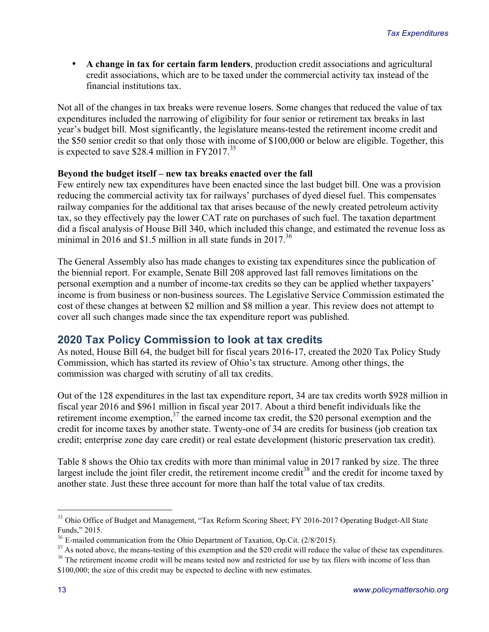• **A change in tax for certain farm lenders**, production credit associations and agricultural credit associations, which are to be taxed under the commercial activity tax instead of the financial institutions tax.

Not all of the changes in tax breaks were revenue losers. Some changes that reduced the value of tax expenditures included the narrowing of eligibility for four senior or retirement tax breaks in last year's budget bill. Most significantly, the legislature means-tested the retirement income credit and the \$50 senior credit so that only those with income of \$100,000 or below are eligible. Together, this is expected to save \$28.4 million in  $FY2017.<sup>35</sup>$ 

#### **Beyond the budget itself – new tax breaks enacted over the fall**

Few entirely new tax expenditures have been enacted since the last budget bill. One was a provision reducing the commercial activity tax for railways' purchases of dyed diesel fuel. This compensates railway companies for the additional tax that arises because of the newly created petroleum activity tax, so they effectively pay the lower CAT rate on purchases of such fuel. The taxation department did a fiscal analysis of House Bill 340, which included this change, and estimated the revenue loss as minimal in 2016 and \$1.5 million in all state funds in  $2017^{36}$ 

The General Assembly also has made changes to existing tax expenditures since the publication of the biennial report. For example, Senate Bill 208 approved last fall removes limitations on the personal exemption and a number of income-tax credits so they can be applied whether taxpayers' income is from business or non-business sources. The Legislative Service Commission estimated the cost of these changes at between \$2 million and \$8 million a year. This review does not attempt to cover all such changes made since the tax expenditure report was published.

### **2020 Tax Policy Commission to look at tax credits**

As noted, House Bill 64, the budget bill for fiscal years 2016-17, created the 2020 Tax Policy Study Commission, which has started its review of Ohio's tax structure. Among other things, the commission was charged with scrutiny of all tax credits.

Out of the 128 expenditures in the last tax expenditure report, 34 are tax credits worth \$928 million in fiscal year 2016 and \$961 million in fiscal year 2017. About a third benefit individuals like the retirement income exemption,<sup>37</sup> the earned income tax credit, the \$20 personal exemption and the credit for income taxes by another state. Twenty-one of 34 are credits for business (job creation tax credit; enterprise zone day care credit) or real estate development (historic preservation tax credit).

Table 8 shows the Ohio tax credits with more than minimal value in 2017 ranked by size. The three largest include the joint filer credit, the retirement income credit $38$  and the credit for income taxed by another state. Just these three account for more than half the total value of tax credits.

<sup>&</sup>lt;sup>35</sup> Ohio Office of Budget and Management, "Tax Reform Scoring Sheet; FY 2016-2017 Operating Budget-All State Funds," 2015.

<sup>&</sup>lt;sup>36</sup> E-mailed communication from the Ohio Department of Taxation, Op.Cit. (2/8/2015).

<sup>&</sup>lt;sup>37</sup> As noted above, the means-testing of this exemption and the \$20 credit will reduce the value of these tax expenditures.

 $38$  The retirement income credit will be means tested now and restricted for use by tax filers with income of less than \$100,000; the size of this credit may be expected to decline with new estimates.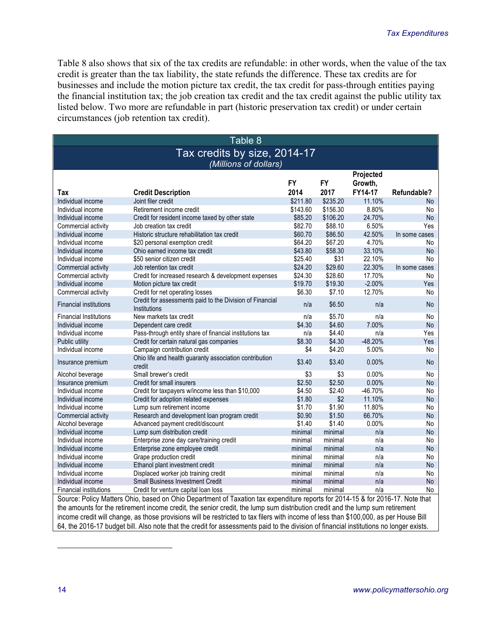Table 8 also shows that six of the tax credits are refundable: in other words, when the value of the tax credit is greater than the tax liability, the state refunds the difference. These tax credits are for businesses and include the motion picture tax credit, the tax credit for pass-through entities paying the financial institution tax; the job creation tax credit and the tax credit against the public utility tax listed below. Two more are refundable in part (historic preservation tax credit) or under certain circumstances (job retention tax credit).

| Table 8                                                                                                                                 |                                                                                                                               |                    |                    |                      |                 |  |
|-----------------------------------------------------------------------------------------------------------------------------------------|-------------------------------------------------------------------------------------------------------------------------------|--------------------|--------------------|----------------------|-----------------|--|
| Tax credits by size, 2014-17                                                                                                            |                                                                                                                               |                    |                    |                      |                 |  |
| (Millions of dollars)                                                                                                                   |                                                                                                                               |                    |                    |                      |                 |  |
|                                                                                                                                         |                                                                                                                               | <b>FY</b>          | <b>FY</b>          | Projected<br>Growth, |                 |  |
| Tax                                                                                                                                     | <b>Credit Description</b>                                                                                                     | 2014               | 2017               | FY14-17              | Refundable?     |  |
| Individual income                                                                                                                       | Joint filer credit                                                                                                            | \$211.80           | \$235.20           | 11.10%               | No.             |  |
| Individual income                                                                                                                       | Retirement income credit                                                                                                      | \$143.60           | \$156.30           | 8.80%                | No              |  |
| Individual income                                                                                                                       | Credit for resident income taxed by other state                                                                               | \$85.20            | \$106.20           | 24.70%               | <b>No</b>       |  |
| Commercial activity                                                                                                                     | Job creation tax credit                                                                                                       | \$82.70            | \$88.10            | 6.50%                | Yes             |  |
| Individual income                                                                                                                       | Historic structure rehabilitation tax credit                                                                                  | \$60.70            | \$86.50            | 42.50%               | In some cases   |  |
| Individual income                                                                                                                       | \$20 personal exemption credit                                                                                                | \$64.20            | \$67.20            | 4.70%                | No              |  |
| Individual income                                                                                                                       | Ohio earned income tax credit                                                                                                 | \$43.80            | \$58.30            | 33.10%               | <b>No</b>       |  |
| Individual income                                                                                                                       | \$50 senior citizen credit                                                                                                    | \$25.40            | \$31               | 22.10%               | No              |  |
| Commercial activity                                                                                                                     | Job retention tax credit                                                                                                      | \$24.20            | \$29.60            | 22.30%               | In some cases   |  |
| Commercial activity                                                                                                                     | Credit for increased research & development expenses                                                                          | \$24.30            | \$28.60            | 17.70%               | No              |  |
| Individual income                                                                                                                       | Motion picture tax credit                                                                                                     | \$19.70<br>\$6.30  | \$19.30<br>\$7.10  | $-2.00%$<br>12.70%   | Yes             |  |
| Commercial activity                                                                                                                     | Credit for net operating losses                                                                                               |                    |                    |                      | No              |  |
| <b>Financial institutions</b>                                                                                                           | Credit for assessments paid to the Division of Financial<br>Institutions                                                      | n/a                | \$6.50             | n/a                  | <b>No</b>       |  |
| <b>Financial Institutions</b>                                                                                                           | New markets tax credit                                                                                                        | n/a                | \$5.70             | n/a                  | No              |  |
| Individual income                                                                                                                       | Dependent care credit                                                                                                         | \$4.30             | \$4.60             | 7.00%                | <b>No</b>       |  |
| Individual income                                                                                                                       | Pass-through entity share of financial institutions tax                                                                       | n/a                | \$4.40             | n/a                  | Yes             |  |
| Public utility                                                                                                                          | Credit for certain natural gas companies                                                                                      | \$8.30             | \$4.30             | $-48.20%$            | Yes             |  |
| Individual income                                                                                                                       | Campaign contribution credit                                                                                                  | \$4                | \$4.20             | 5.00%                | No              |  |
| Insurance premium                                                                                                                       | Ohio life and health guaranty association contribution<br>credit                                                              | \$3.40             | \$3.40             | 0.00%                | <b>No</b>       |  |
| Alcohol beverage                                                                                                                        | Small brewer's credit                                                                                                         | \$3                | \$3                | 0.00%                | No              |  |
| Insurance premium                                                                                                                       | Credit for small insurers                                                                                                     | \$2.50             | \$2.50             | 0.00%                | No              |  |
| Individual income                                                                                                                       | Credit for taxpayers w/income less than \$10,000                                                                              | \$4.50             | \$2.40             | $-46.70%$            | No              |  |
| Individual income                                                                                                                       | Credit for adoption related expenses                                                                                          | \$1.80             | \$2                | 11.10%               | <b>No</b>       |  |
| Individual income                                                                                                                       | Lump sum retirement income                                                                                                    | \$1.70             | \$1.90             | 11.80%               | No              |  |
| Commercial activity                                                                                                                     | Research and development loan program credit                                                                                  | \$0.90             | \$1.50             | 66.70%               | <b>No</b>       |  |
| Alcohol beverage                                                                                                                        | Advanced payment credit/discount                                                                                              | \$1.40             | \$1.40             | 0.00%                | No              |  |
| Individual income                                                                                                                       | Lump sum distribution credit                                                                                                  | minimal            | minimal            | n/a                  | No              |  |
| Individual income<br>Individual income                                                                                                  | Enterprise zone day care/training credit                                                                                      | minimal<br>minimal | minimal<br>minimal | n/a<br>n/a           | No<br><b>No</b> |  |
| Individual income                                                                                                                       | Enterprise zone employee credit<br>Grape production credit                                                                    | minimal            | minimal            | n/a                  | No              |  |
| Individual income                                                                                                                       | Ethanol plant investment credit                                                                                               | minimal            | minimal            | n/a                  | <b>No</b>       |  |
| Individual income                                                                                                                       | Displaced worker job training credit                                                                                          | minimal            | minimal            | n/a                  | No              |  |
| Individual income                                                                                                                       | <b>Small Business Investment Credit</b>                                                                                       | minimal            | minimal            | n/a                  | <b>No</b>       |  |
| Financial institutions                                                                                                                  | Credit for venture capital loan loss                                                                                          | minimal            | minimal            | n/a                  | No              |  |
| Source: Policy Matters Ohio, based on Ohio Department of Taxation tax expenditure reports for 2014-15 & for 2016-17. Note that          |                                                                                                                               |                    |                    |                      |                 |  |
|                                                                                                                                         | the amounts for the retirement income credit, the senior credit, the lump sum distribution credit and the lump sum retirement |                    |                    |                      |                 |  |
|                                                                                                                                         |                                                                                                                               |                    |                    |                      |                 |  |
| income credit will change, as those provisions will be restricted to tax filers with income of less than \$100,000, as per House Bill   |                                                                                                                               |                    |                    |                      |                 |  |
| 64, the 2016-17 budget bill. Also note that the credit for assessments paid to the division of financial institutions no longer exists. |                                                                                                                               |                    |                    |                      |                 |  |

 $\overline{a}$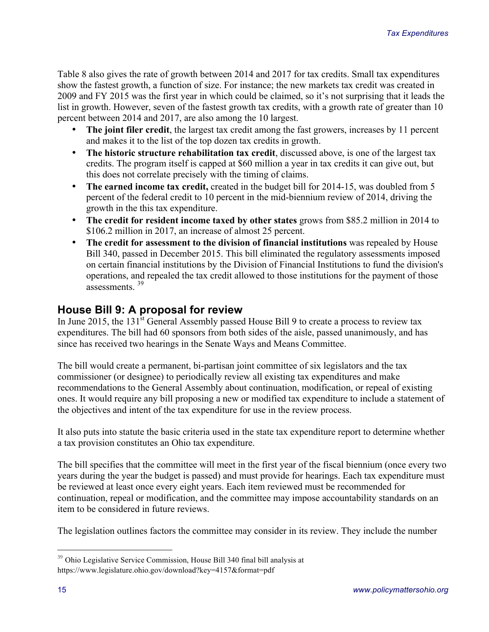Table 8 also gives the rate of growth between 2014 and 2017 for tax credits. Small tax expenditures show the fastest growth, a function of size. For instance; the new markets tax credit was created in 2009 and FY 2015 was the first year in which could be claimed, so it's not surprising that it leads the list in growth. However, seven of the fastest growth tax credits, with a growth rate of greater than 10 percent between 2014 and 2017, are also among the 10 largest.

- **The joint filer credit**, the largest tax credit among the fast growers, increases by 11 percent and makes it to the list of the top dozen tax credits in growth.
- **The historic structure rehabilitation tax credit**, discussed above, is one of the largest tax credits. The program itself is capped at \$60 million a year in tax credits it can give out, but this does not correlate precisely with the timing of claims.
- The earned income tax credit, created in the budget bill for 2014-15, was doubled from 5 percent of the federal credit to 10 percent in the mid-biennium review of 2014, driving the growth in the this tax expenditure.
- The credit for resident income taxed by other states grows from \$85.2 million in 2014 to \$106.2 million in 2017, an increase of almost 25 percent.
- The credit for assessment to the division of financial institutions was repealed by House Bill 340, passed in December 2015. This bill eliminated the regulatory assessments imposed on certain financial institutions by the Division of Financial Institutions to fund the division's operations, and repealed the tax credit allowed to those institutions for the payment of those assessments. <sup>39</sup>

# **House Bill 9: A proposal for review**

In June 2015, the 131<sup>st</sup> General Assembly passed House Bill 9 to create a process to review tax expenditures. The bill had 60 sponsors from both sides of the aisle, passed unanimously, and has since has received two hearings in the Senate Ways and Means Committee.

The bill would create a permanent, bi-partisan joint committee of six legislators and the tax commissioner (or designee) to periodically review all existing tax expenditures and make recommendations to the General Assembly about continuation, modification, or repeal of existing ones. It would require any bill proposing a new or modified tax expenditure to include a statement of the objectives and intent of the tax expenditure for use in the review process.

It also puts into statute the basic criteria used in the state tax expenditure report to determine whether a tax provision constitutes an Ohio tax expenditure.

The bill specifies that the committee will meet in the first year of the fiscal biennium (once every two years during the year the budget is passed) and must provide for hearings. Each tax expenditure must be reviewed at least once every eight years. Each item reviewed must be recommended for continuation, repeal or modification, and the committee may impose accountability standards on an item to be considered in future reviews.

The legislation outlines factors the committee may consider in its review. They include the number

 <sup>39</sup> Ohio Legislative Service Commission, House Bill 340 final bill analysis at https://www.legislature.ohio.gov/download?key=4157&format=pdf